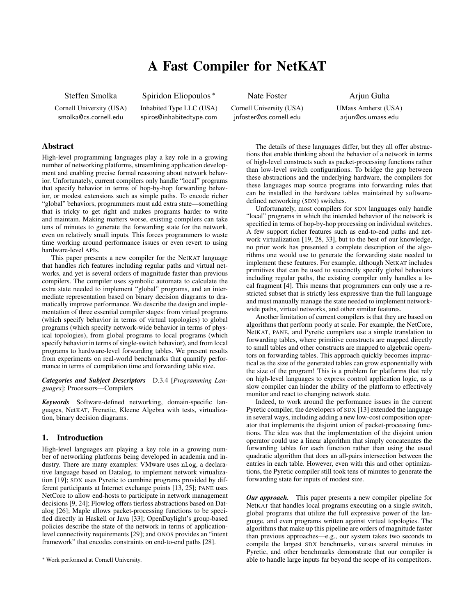# A Fast Compiler for NetKAT

Steffen Smolka

Cornell University (USA) smolka@cs.cornell.edu

Spiridon Eliopoulos \* Inhabited Type LLC (USA) spiros@inhabitedtype.com

Nate Foster

Cornell University (USA) jnfoster@cs.cornell.edu

Arjun Guha UMass Amherst (USA) arjun@cs.umass.edu

# Abstract

High-level programming languages play a key role in a growing number of networking platforms, streamlining application development and enabling precise formal reasoning about network behavior. Unfortunately, current compilers only handle "local" programs that specify behavior in terms of hop-by-hop forwarding behavior, or modest extensions such as simple paths. To encode richer "global" behaviors, programmers must add extra state—something that is tricky to get right and makes programs harder to write and maintain. Making matters worse, existing compilers can take tens of minutes to generate the forwarding state for the network, even on relatively small inputs. This forces programmers to waste time working around performance issues or even revert to using hardware-level APIs.

This paper presents a new compiler for the NetKAT language that handles rich features including regular paths and virtual networks, and yet is several orders of magnitude faster than previous compilers. The compiler uses symbolic automata to calculate the extra state needed to implement "global" programs, and an intermediate representation based on binary decision diagrams to dramatically improve performance. We describe the design and implementation of three essential compiler stages: from virtual programs (which specify behavior in terms of virtual topologies) to global programs (which specify network-wide behavior in terms of physical topologies), from global programs to local programs (which specify behavior in terms of single-switch behavior), and from local programs to hardware-level forwarding tables. We present results from experiments on real-world benchmarks that quantify performance in terms of compilation time and forwarding table size.

*Categories and Subject Descriptors* D.3.4 [*Programming Languages*]: Processors—Compilers

*Keywords* Software-defined networking, domain-specific languages, NetKAT, Frenetic, Kleene Algebra with tests, virtualization, binary decision diagrams.

## 1. Introduction

High-level languages are playing a key role in a growing number of networking platforms being developed in academia and industry. There are many examples: VMware uses nlog, a declarative language based on Datalog, to implement network virtualization [19]; SDX uses Pyretic to combine programs provided by different participants at Internet exchange points [13, 25]; PANE uses NetCore to allow end-hosts to participate in network management decisions [9, 24]; Flowlog offers tierless abstractions based on Datalog [26]; Maple allows packet-processing functions to be specified directly in Haskell or Java [33]; OpenDaylight's group-based policies describe the state of the network in terms of applicationlevel connectivity requirements [29]; and ONOS provides an "intent framework" that encodes constraints on end-to-end paths [28].

The details of these languages differ, but they all offer abstractions that enable thinking about the behavior of a network in terms of high-level constructs such as packet-processing functions rather than low-level switch configurations. To bridge the gap between these abstractions and the underlying hardware, the compilers for these languages map source programs into forwarding rules that can be installed in the hardware tables maintained by softwaredefined networking (SDN) switches.

Unfortunately, most compilers for SDN languages only handle "local" programs in which the intended behavior of the network is specified in terms of hop-by-hop processing on individual switches. A few support richer features such as end-to-end paths and network virtualization [19, 28, 33], but to the best of our knowledge, no prior work has presented a complete description of the algorithms one would use to generate the forwarding state needed to implement these features. For example, although NetKAT includes primitives that can be used to succinctly specify global behaviors including regular paths, the existing compiler only handles a local fragment [4]. This means that programmers can only use a restricted subset that is strictly less expressive than the full language and must manually manage the state needed to implement networkwide paths, virtual networks, and other similar features.

Another limitation of current compilers is that they are based on algorithms that perform poorly at scale. For example, the NetCore, NetKAT, PANE, and Pyretic compilers use a simple translation to forwarding tables, where primitive constructs are mapped directly to small tables and other constructs are mapped to algebraic operators on forwarding tables. This approach quickly becomes impractical as the size of the generated tables can grow exponentially with the size of the program! This is a problem for platforms that rely on high-level languages to express control application logic, as a slow compiler can hinder the ability of the platform to effectively monitor and react to changing network state.

Indeed, to work around the performance issues in the current Pyretic compiler, the developers of SDX [13] extended the language in several ways, including adding a new low-cost composition operator that implements the disjoint union of packet-processing functions. The idea was that the implementation of the disjoint union operator could use a linear algorithm that simply concatenates the forwarding tables for each function rather than using the usual quadratic algorithm that does an all-pairs intersection between the entries in each table. However, even with this and other optimizations, the Pyretic compiler still took tens of minutes to generate the forwarding state for inputs of modest size.

*Our approach.* This paper presents a new compiler pipeline for NetKAT that handles local programs executing on a single switch, global programs that utilize the full expressive power of the language, and even programs written against virtual topologies. The algorithms that make up this pipeline are orders of magnitude faster than previous approaches—e.g., our system takes two seconds to compile the largest SDX benchmarks, versus several minutes in Pyretic, and other benchmarks demonstrate that our compiler is able to handle large inputs far beyond the scope of its competitors.

<sup>⇤</sup> Work performed at Cornell University.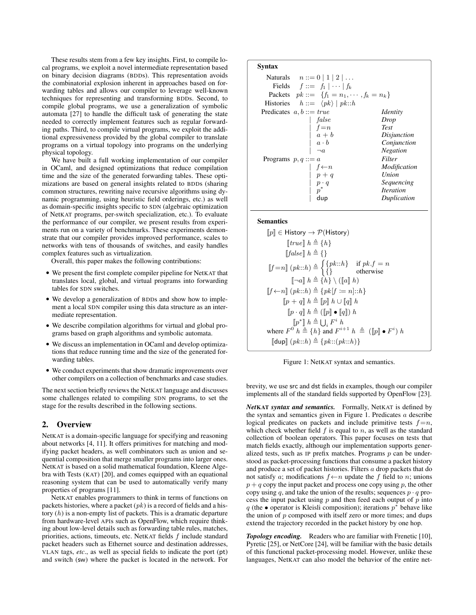These results stem from a few key insights. First, to compile local programs, we exploit a novel intermediate representation based on binary decision diagrams (BDDs). This representation avoids the combinatorial explosion inherent in approaches based on forwarding tables and allows our compiler to leverage well-known techniques for representing and transforming BDDs. Second, to compile global programs, we use a generalization of symbolic automata [27] to handle the difficult task of generating the state needed to correctly implement features such as regular forwarding paths. Third, to compile virtual programs, we exploit the additional expressiveness provided by the global compiler to translate programs on a virtual topology into programs on the underlying physical topology.

We have built a full working implementation of our compiler in OCaml, and designed optimizations that reduce compilation time and the size of the generated forwarding tables. These optimizations are based on general insights related to BDDs (sharing common structures, rewriting naive recursive algorithms using dynamic programming, using heuristic field orderings, etc.) as well as domain-specific insights specific to SDN (algebraic optimization of NetKAT programs, per-switch specialization, etc.). To evaluate the performance of our compiler, we present results from experiments run on a variety of benchmarks. These experiments demonstrate that our compiler provides improved performance, scales to networks with tens of thousands of switches, and easily handles complex features such as virtualization.

Overall, this paper makes the following contributions:

- *•* We present the first complete compiler pipeline for NetKAT that translates local, global, and virtual programs into forwarding tables for SDN switches.
- *•* We develop a generalization of BDDs and show how to implement a local SDN compiler using this data structure as an intermediate representation.
- *•* We describe compilation algorithms for virtual and global programs based on graph algorithms and symbolic automata.
- *•* We discuss an implementation in OCaml and develop optimizations that reduce running time and the size of the generated forwarding tables.
- *•* We conduct experiments that show dramatic improvements over other compilers on a collection of benchmarks and case studies.

The next section briefly reviews the NetKAT language and discusses some challenges related to compiling SDN programs, to set the stage for the results described in the following sections.

## 2. Overview

NetKAT is a domain-specific language for specifying and reasoning about networks [4, 11]. It offers primitives for matching and modifying packet headers, as well combinators such as union and sequential composition that merge smaller programs into larger ones. NetKAT is based on a solid mathematical foundation, Kleene Algebra with Tests (KAT) [20], and comes equipped with an equational reasoning system that can be used to automatically verify many properties of programs [11].

NetKAT enables programmers to think in terms of functions on packets histories, where a packet (*pk*) is a record of fields and a history (*h*) is a non-empty list of packets. This is a dramatic departure from hardware-level APIs such as OpenFlow, which require thinking about low-level details such as forwarding table rules, matches, priorities, actions, timeouts, etc. NetKAT fields *f* include standard packet headers such as Ethernet source and destination addresses, VLAN tags, *etc*., as well as special fields to indicate the port (pt) and switch (sw) where the packet is located in the network. For

# Syntax **Naturals**  $n ::= 0 | 1 | 2 | ...$ <br>Fields  $f ::= f_1 | \cdots | f_k$  $f ::= f_1 | \cdots | f_k$ Packets  $pk ::= \{f_1 = n_1, \dots, f_k = n_k\}$ <br>Histories  $h ::= \langle pk \rangle | pk::h$  $h ::= \langle pk \rangle | pk::h$ Predicates *a, b* ::= *true Identity*  $false$  *Drop*<br>  $f = n$  *Test*  $f = n$ <br> $a + b$  $a + b$  *Disjunction*<br> $a \cdot b$  *Conjunction a* ⋅ *b Conjunction*<br> *¬a Negation | ¬a Negation* Programs  $p, q ::= a$  $f \leftarrow n$  *Modification*<br>  $p + q$  *Union*  $\frac{p+q}{p\cdot q}$ *| p · q Sequencing p*<sup>\*</sup> *Iteration*<br> **dup** *Duplication |* dup *Duplication*

#### Semantics

$$
[\![p]\!] \in \text{History} \rightarrow \mathcal{P}(\text{History})
$$
\n
$$
[\![true]\!] \ h \triangleq \{h\}
$$
\n
$$
[\![false]\!] \ h \triangleq \{\}
$$
\n
$$
[\![f=n]\!] \ (pk::h) \triangleq \begin{cases} \{pk::h\} & \text{if } pk.f = n \\ \{\} & \text{otherwise} \end{cases}
$$
\n
$$
[\![\neg a]\!] \ h \triangleq \{h\} \setminus ([\![a]\!] \ h)
$$
\n
$$
[\![f \leftarrow n]\!] \ (pk::h) \triangleq \{pk[f := n]::h\}
$$
\n
$$
[\![p + q]\!] \ h \triangleq [\![p]\!] \ h \cup [\![q]\!] \ h
$$
\n
$$
[\![p * q]\!] \ h \triangleq ([\![p]\!] \bullet [\![q]\!]) \ h
$$
\n
$$
[\![p^*]\!] \ h \triangleq \bigcup_i F^i \ h
$$
\n
$$
\text{where } F^0 \ h \triangleq \{h\} \text{ and } F^{i+1} \ h \triangleq ([\![p]\!] \bullet F^i) \ h
$$
\n
$$
[\![\text{dup}\!] \ (pk::h) \triangleq \{pk::(pk::h)\}\}
$$

Figure 1: NetKAT syntax and semantics.

brevity, we use src and dst fields in examples, though our compiler implements all of the standard fields supported by OpenFlow [23].

*Net*KAT *syntax and semantics.* Formally, NetKAT is defined by the syntax and semantics given in Figure 1. Predicates *a* describe logical predicates on packets and include primitive tests  $f = n$ , which check whether field  $f$  is equal to  $n$ , as well as the standard collection of boolean operators. This paper focuses on tests that match fields exactly, although our implementation supports generalized tests, such as IP prefix matches. Programs *p* can be understood as packet-processing functions that consume a packet history and produce a set of packet histories. Filters *a* drop packets that do not satisfy *a*; modifications  $f \leftarrow n$  update the *f* field to *n*; unions  $p + q$  copy the input packet and process one copy using *p*, the other copy using *q*, and take the union of the results; sequences  $p \cdot q$  process the input packet using *p* and then feed each output of *p* into *q* (the • operator is Kleisli composition); iterations  $p^*$  behave like the union of *p* composed with itself zero or more times; and dups extend the trajectory recorded in the packet history by one hop.

*Topology encoding.* Readers who are familiar with Frenetic [10], Pyretic [25], or NetCore [24], will be familiar with the basic details of this functional packet-processing model. However, unlike these languages, NetKAT can also model the behavior of the entire net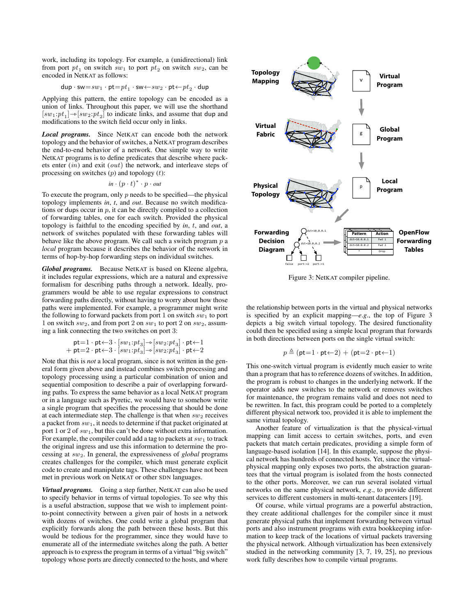work, including its topology. For example, a (unidirectional) link from port  $pt_1$  on switch  $sw_1$  to port  $pt_2$  on switch  $sw_2$ , can be encoded in NetKAT as follows:

$$
\text{dup} \cdot \text{sw} {=} sw_1 \cdot \text{pt} {=} pt_1 \cdot \text{sw} { \leftarrow } sw_2 \cdot \text{pt} { \leftarrow } pt_2 \cdot \text{dup}
$$

Applying this pattern, the entire topology can be encoded as a union of links. Throughout this paper, we will use the shorthand  $[sw_1:pt_1] \rightarrow [sw_2:pt_2]$  to indicate links, and assume that dup and modifications to the switch field occur only in links.

*Local programs.* Since NetKAT can encode both the network topology and the behavior of switches, a NetKAT program describes the end-to-end behavior of a network. One simple way to write NetKAT programs is to define predicates that describe where packets enter (*in*) and exit (*out*) the network, and interleave steps of processing on switches (*p*) and topology (*t*):

$$
\mathit{in} \cdot (p \cdot t)^* \cdot p \cdot \mathit{out}
$$

To execute the program, only *p* needs to be specified—the physical topology implements *in*, *t*, and *out*. Because no switch modifications or dups occur in *p*, it can be directly compiled to a collection of forwarding tables, one for each switch. Provided the physical topology is faithful to the encoding specified by *in*, *t*, and *out*, a network of switches populated with these forwarding tables will behave like the above program. We call such a switch program *p* a *local* program because it describes the behavior of the network in terms of hop-by-hop forwarding steps on individual switches.

*Global programs.* Because NetKAT is based on Kleene algebra, it includes regular expressions, which are a natural and expressive formalism for describing paths through a network. Ideally, programmers would be able to use regular expressions to construct forwarding paths directly, without having to worry about how those paths were implemented. For example, a programmer might write the following to forward packets from port 1 on switch  $sw_1$  to port 1 on switch  $sw_2$ , and from port 2 on  $sw_1$  to port 2 on  $sw_2$ , assuming a link connecting the two switches on port 3:

$$
\begin{aligned} \mathsf{pt} &= 1 \cdot \mathsf{pt} \leftarrow 3 \cdot [sw_1:pt_3] \rightarrow [sw_2:pt_3] \cdot \mathsf{pt} \leftarrow 1 \\ &+ \mathsf{pt} = 2 \cdot \mathsf{pt} \leftarrow 3 \cdot [sw_1:pt_3] \rightarrow [sw_2:pt_3] \cdot \mathsf{pt} \leftarrow 2 \end{aligned}
$$

Note that this is *not* a local program, since is not written in the general form given above and instead combines switch processing and topology processing using a particular combination of union and sequential composition to describe a pair of overlapping forwarding paths. To express the same behavior as a local NetKAT program or in a language such as Pyretic, we would have to somehow write a single program that specifies the processing that should be done at each intermediate step. The challenge is that when  $sw_2$  receives a packet from *sw*1, it needs to determine if that packet originated at port 1 or 2 of *sw*1, but this can't be done without extra information. For example, the compiler could add a tag to packets at  $sw_1$  to track the original ingress and use this information to determine the processing at *sw*2. In general, the expressiveness of *global* programs creates challenges for the compiler, which must generate explicit code to create and manipulate tags. These challenges have not been met in previous work on NetKAT or other SDN languages.

*Virtual programs.* Going a step further, NetKAT can also be used to specify behavior in terms of virtual topologies. To see why this is a useful abstraction, suppose that we wish to implement pointto-point connectivity between a given pair of hosts in a network with dozens of switches. One could write a global program that explicitly forwards along the path between these hosts. But this would be tedious for the programmer, since they would have to enumerate all of the intermediate switches along the path. A better approach is to express the program in terms of a virtual "big switch" topology whose ports are directly connected to the hosts, and where



Figure 3: NetKAT compiler pipeline.

the relationship between ports in the virtual and physical networks is specified by an explicit mapping—*e*.*g*., the top of Figure 3 depicts a big switch virtual topology. The desired functionality could then be specified using a simple local program that forwards in both directions between ports on the single virtual switch:

$$
p \triangleq (\mathsf{pt} = 1 \cdot \mathsf{pt} \leftarrow 2) + (\mathsf{pt} = 2 \cdot \mathsf{pt} \leftarrow 1)
$$

This one-switch virtual program is evidently much easier to write than a program that has to reference dozens of switches. In addition, the program is robust to changes in the underlying network. If the operator adds new switches to the network or removes switches for maintenance, the program remains valid and does not need to be rewritten. In fact, this program could be ported to a completely different physical network too, provided it is able to implement the same virtual topology.

Another feature of virtualization is that the physical-virtual mapping can limit access to certain switches, ports, and even packets that match certain predicates, providing a simple form of language-based isolation [14]. In this example, suppose the physical network has hundreds of connected hosts. Yet, since the virtualphysical mapping only exposes two ports, the abstraction guarantees that the virtual program is isolated from the hosts connected to the other ports. Moreover, we can run several isolated virtual networks on the same physical network, *e*.*g*., to provide different services to different customers in multi-tenant datacenters [19].

Of course, while virtual programs are a powerful abstraction, they create additional challenges for the compiler since it must generate physical paths that implement forwarding between virtual ports and also instrument programs with extra bookkeeping information to keep track of the locations of virtual packets traversing the physical network. Although virtualization has been extensively studied in the networking community [3, 7, 19, 25], no previous work fully describes how to compile virtual programs.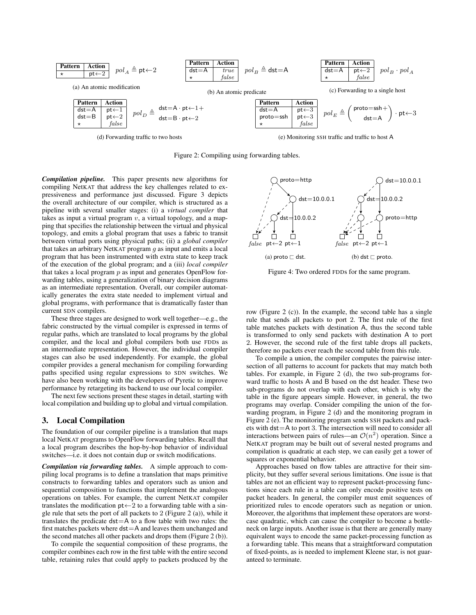

Figure 2: Compiling using forwarding tables.

*Compilation pipeline.* This paper presents new algorithms for compiling NetKAT that address the key challenges related to expressiveness and performance just discussed. Figure 3 depicts the overall architecture of our compiler, which is structured as a pipeline with several smaller stages: (i) a *virtual compiler* that takes as input a virtual program *v*, a virtual topology, and a mapping that specifies the relationship between the virtual and physical topology, and emits a global program that uses a fabric to transit between virtual ports using physical paths; (ii) a *global compiler* that takes an arbitrary NetKAT program *g* as input and emits a local program that has been instrumented with extra state to keep track of the execution of the global program; and a (iii) *local compiler* that takes a local program *p* as input and generates OpenFlow forwarding tables, using a generalization of binary decision diagrams as an intermediate representation. Overall, our compiler automatically generates the extra state needed to implement virtual and global programs, with performance that is dramatically faster than current SDN compilers.

These three stages are designed to work well together—e.g., the fabric constructed by the virtual compiler is expressed in terms of regular paths, which are translated to local programs by the global compiler, and the local and global compilers both use FDDs as an intermediate representation. However, the individual compiler stages can also be used independently. For example, the global compiler provides a general mechanism for compiling forwarding paths specified using regular expressions to SDN switches. We have also been working with the developers of Pyretic to improve performance by retargeting its backend to use our local compiler.

The next few sections present these stages in detail, starting with local compilation and building up to global and virtual compilation.

# 3. Local Compilation

The foundation of our compiler pipeline is a translation that maps local NetKAT programs to OpenFlow forwarding tables. Recall that a local program describes the hop-by-hop behavior of individual switches—i.e. it does not contain dup or switch modifications.

*Compilation via forwarding tables.* A simple approach to compiling local programs is to define a translation that maps primitive constructs to forwarding tables and operators such as union and sequential composition to functions that implement the analogous operations on tables. For example, the current NetKAT compiler translates the modification  $pt \leftarrow 2$  to a forwarding table with a single rule that sets the port of all packets to 2 (Figure 2 (a)), while it translates the predicate  $dst = A$  to a flow table with two rules: the first matches packets where dst=A and leaves them unchanged and the second matches all other packets and drops them (Figure 2 (b)).

To compile the sequential composition of these programs, the compiler combines each row in the first table with the entire second table, retaining rules that could apply to packets produced by the



Figure 4: Two ordered FDDs for the same program.

row (Figure 2 (c)). In the example, the second table has a single rule that sends all packets to port 2. The first rule of the first table matches packets with destination A, thus the second table is transformed to only send packets with destination A to port 2. However, the second rule of the first table drops all packets, therefore no packets ever reach the second table from this rule.

To compile a union, the compiler computes the pairwise intersection of all patterns to account for packets that may match both tables. For example, in Figure 2 (d), the two sub-programs forward traffic to hosts A and B based on the dst header. These two sub-programs do not overlap with each other, which is why the table in the figure appears simple. However, in general, the two programs may overlap. Consider compiling the union of the forwarding program, in Figure 2 (d) and the monitoring program in Figure 2 (e). The monitoring program sends SSH packets and packets with dst=A to port 3. The intersection will need to consider all interactions between pairs of rules—an  $\mathcal{O}(n^2)$  operation. Since a NetKAT program may be built out of several nested programs and compilation is quadratic at each step, we can easily get a tower of squares or exponential behavior.

Approaches based on flow tables are attractive for their simplicity, but they suffer several serious limitations. One issue is that tables are not an efficient way to represent packet-processing functions since each rule in a table can only encode positive tests on packet headers. In general, the compiler must emit sequences of prioritized rules to encode operators such as negation or union. Moreover, the algorithms that implement these operators are worstcase quadratic, which can cause the compiler to become a bottleneck on large inputs. Another issue is that there are generally many equivalent ways to encode the same packet-processing function as a forwarding table. This means that a straightforward computation of fixed-points, as is needed to implement Kleene star, is not guaranteed to terminate.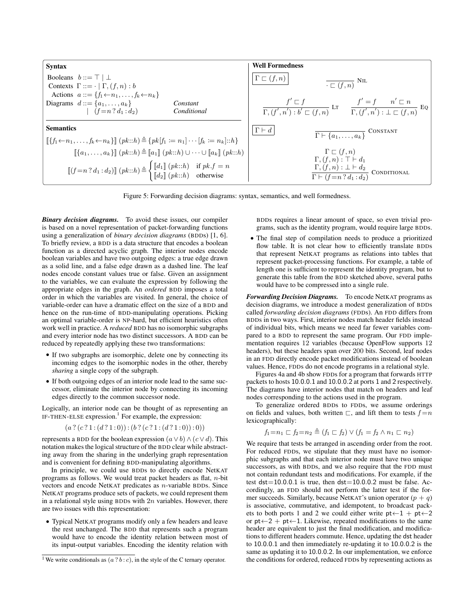

Figure 5: Forwarding decision diagrams: syntax, semantics, and well formedness.

*Binary decision diagrams.* To avoid these issues, our compiler is based on a novel representation of packet-forwarding functions using a generalization of *binary decision diagrams* (BDDs) [1, 6]. To briefly review, a BDD is a data structure that encodes a boolean function as a directed acyclic graph. The interior nodes encode boolean variables and have two outgoing edges: a true edge drawn as a solid line, and a false edge drawn as a dashed line. The leaf nodes encode constant values true or false. Given an assignment to the variables, we can evaluate the expression by following the appropriate edges in the graph. An *ordered* BDD imposes a total order in which the variables are visited. In general, the choice of variable-order can have a dramatic effect on the size of a BDD and hence on the run-time of BDD-manipulating operations. Picking an optimal variable-order is NP-hard, but efficient heuristics often work well in practice. A *reduced* BDD has no isomorphic subgraphs and every interior node has two distinct successors. A BDD can be reduced by repeatedly applying these two transformations:

- *•* If two subgraphs are isomorphic, delete one by connecting its incoming edges to the isomorphic nodes in the other, thereby *sharing* a single copy of the subgraph.
- If both outgoing edges of an interior node lead to the same successor, eliminate the interior node by connecting its incoming edges directly to the common successor node.

Logically, an interior node can be thought of as representing an IF-THEN-ELSE expression.<sup>1</sup> For example, the expression:

$$
(a ? (c ? 1 : (d ? 1 : 0)) : (b ? (c ? 1 : (d ? 1 : 0)) : 0))
$$

represents a BDD for the boolean expression  $(a \vee b) \wedge (c \vee d)$ . This notation makes the logical structure of the BDD clear while abstracting away from the sharing in the underlying graph representation and is convenient for defining BDD-manipulating algorithms.

In principle, we could use BDDs to directly encode NetKAT programs as follows. We would treat packet headers as flat, *n*-bit vectors and encode NetKAT predicates as *n*-variable BDDs. Since NetKAT programs produce sets of packets, we could represent them in a relational style using BDDs with 2*n* variables. However, there are two issues with this representation:

*•* Typical NetKAT programs modify only a few headers and leave the rest unchanged. The BDD that represents such a program would have to encode the identity relation between most of its input-output variables. Encoding the identity relation with

BDDs requires a linear amount of space, so even trivial programs, such as the identity program, would require large BDDs.

*•* The final step of compilation needs to produce a prioritized flow table. It is not clear how to efficiently translate BDDs that represent NetKAT programs as relations into tables that represent packet-processing functions. For example, a table of length one is sufficient to represent the identity program, but to generate this table from the BDD sketched above, several paths would have to be compressed into a single rule.

*Forwarding Decision Diagrams.* To encode NetKAT programs as decision diagrams, we introduce a modest generalization of BDDs called *forwarding decision diagrams* (FDDs). An FDD differs from BDDs in two ways. First, interior nodes match header fields instead of individual bits, which means we need far fewer variables compared to a BDD to represent the same program. Our FDD implementation requires 12 variables (because OpenFlow supports 12 headers), but these headers span over 200 bits. Second, leaf nodes in an FDD directly encode packet modifications instead of boolean values. Hence, FDDs do not encode programs in a relational style.

Figures 4a and 4b show FDDs for a program that forwards HTTP packets to hosts 10*.*0*.*0*.*1 and 10*.*0*.*0*.*2 at ports 1 and 2 respectively. The diagrams have interior nodes that match on headers and leaf nodes corresponding to the actions used in the program.

To generalize ordered BDDs to FDDs, we assume orderings on fields and values, both written  $\Box$ , and lift them to tests  $f = n$ lexicographically:

$$
f_1 = n_1 \sqsubset f_2 = n_2 \triangleq (f_1 \sqsubset f_2) \vee (f_1 = f_2 \wedge n_1 \sqsubset n_2)
$$

We require that tests be arranged in ascending order from the root. For reduced FDDs, we stipulate that they must have no isomorphic subgraphs and that each interior node must have two unique successors, as with BDDs, and we also require that the FDD must not contain redundant tests and modifications. For example, if the test  $dst = 10.0.0.1$  is true, then  $dst = 10.0.0.2$  must be false. Accordingly, an FDD should not perform the latter test if the former succeeds. Similarly, because NetKAT's union operator  $(p + q)$ is associative, commutative, and idempotent, to broadcast packets to both ports 1 and 2 we could either write  $pt \leftarrow 1 + pt \leftarrow 2$ or  $pt \leftarrow 2 + pt \leftarrow 1$ . Likewise, repeated modifications to the same header are equivalent to just the final modification, and modifications to different headers commute. Hence, updating the dst header to 10*.*0*.*0*.*1 and then immediately re-updating it to 10*.*0*.*0*.*2 is the same as updating it to 10*.*0*.*0*.*2. In our implementation, we enforce the conditions for ordered, reduced FDDs by representing actions as

<sup>&</sup>lt;sup>1</sup> We write conditionals as  $(a ? b : c)$ , in the style of the C ternary operator.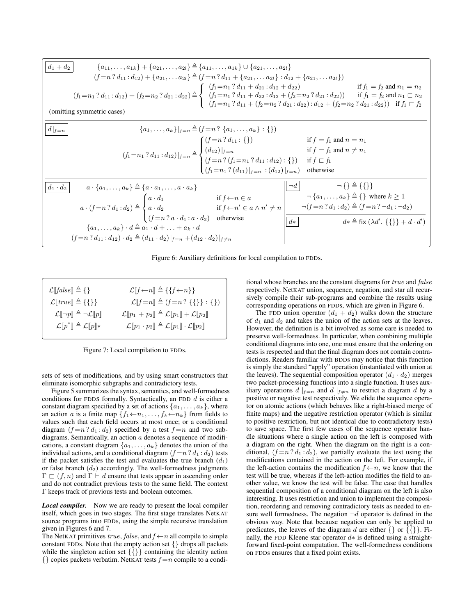

Figure 6: Auxiliary definitions for local compilation to FDDs.

| $\mathcal{L}[[false]] \triangleq \{\}$               | $\mathcal{L}[[f\leftarrow n]] \triangleq \{\{f\leftarrow n\}\}\$                                                                            |
|------------------------------------------------------|---------------------------------------------------------------------------------------------------------------------------------------------|
| $\mathcal{L}[[true]] \triangleq {\{\{\}}$            | $\mathcal{L}[[f=n]] \triangleq (f=n ? {\{\{\}\}} : {\})$                                                                                    |
| $\mathcal{L}[\neg p] \triangleq \neg \mathcal{L}[p]$ | $\mathcal{L}\llbracket p_1 + p_2 \rrbracket \triangleq \mathcal{L}\llbracket p_1 \rrbracket + \mathcal{L}\llbracket p_2 \rrbracket$         |
| $\mathcal{L}[p^*] \triangleq \mathcal{L}[p]*$        | $\mathcal{L}\llbracket p_1 \cdot p_2 \rrbracket \triangleq \mathcal{L}\llbracket p_1 \rrbracket \cdot \mathcal{L}\llbracket p_2 \rrbracket$ |

Figure 7: Local compilation to FDDs.

sets of sets of modifications, and by using smart constructors that eliminate isomorphic subgraphs and contradictory tests.

Figure 5 summarizes the syntax, semantics, and well-formedness conditions for FDDS formally. Syntactically, an FDD *d* is either a constant diagram specified by a set of actions  $\{a_1, \ldots, a_k\}$ , where an action *a* is a finite map  $\{f_1 \leftarrow n_1, \ldots, f_k \leftarrow n_k\}$  from fields to values such that each field occurs at most once; or a conditional diagram  $(f = n \cdot d_1 : d_2)$  specified by a test  $f = n$  and two subdiagrams. Semantically, an action *a* denotes a sequence of modifications, a constant diagram  $\{a_1, \ldots, a_k\}$  denotes the union of the individual actions, and a conditional diagram  $(f = n ? d_1 : d_2)$  tests if the packet satisfies the test and evaluates the true branch  $(d_1)$ or false branch  $(d_2)$  accordingly. The well-formedness judgments  $\Gamma \subset (f,n)$  and  $\Gamma \vdash d$  ensure that tests appear in ascending order and do not contradict previous tests to the same field. The context  $\Gamma$  keeps track of previous tests and boolean outcomes.

*Local compiler.* Now we are ready to present the local compiler itself, which goes in two stages. The first stage translates NetKAT source programs into FDDs, using the simple recursive translation given in Figures 6 and 7.

The NetKAT primitives *true*, *false*, and  $f \leftarrow n$  all compile to simple constant FDDs. Note that the empty action set *{}* drops all packets while the singleton action set *{{}}* containing the identity action *{}* copies packets verbatim. NetKAT tests *f* =*n* compile to a conditional whose branches are the constant diagrams for *true* and *false* respectively. NetKAT union, sequence, negation, and star all recursively compile their sub-programs and combine the results using corresponding operations on FDDs, which are given in Figure 6.

The FDD union operator  $(d_1 + d_2)$  walks down the structure of *d*<sup>1</sup> and *d*<sup>2</sup> and takes the union of the action sets at the leaves. However, the definition is a bit involved as some care is needed to preserve well-formedness. In particular, when combining multiple conditional diagrams into one, one must ensure that the ordering on tests is respected and that the final diagram does not contain contradictions. Readers familiar with BDDs may notice that this function is simply the standard "apply" operation (instantiated with union at the leaves). The sequential composition operator  $(d_1 \cdot d_2)$  merges two packet-processing functions into a single function. It uses auxiliary operations  $d \mid_{f=n}$  and  $d \mid_{f \neq n}$  to restrict a diagram  $d$  by a positive or negative test respectively. We elide the sequence operator on atomic actions (which behaves like a right-biased merge of finite maps) and the negative restriction operator (which is similar to positive restriction, but not identical due to contradictory tests) to save space. The first few cases of the sequence operator handle situations where a single action on the left is composed with a diagram on the right. When the diagram on the right is a conditional,  $(f = n ? d_1 : d_2)$ , we partially evaluate the test using the modifications contained in the action on the left. For example, if the left-action contains the modification  $f \leftarrow n$ , we know that the test will be true, whereas if the left-action modifies the field to another value, we know the test will be false. The case that handles sequential composition of a conditional diagram on the left is also interesting. It uses restriction and union to implement the composition, reordering and removing contradictory tests as needed to ensure well formedness. The negation  $\neg d$  operator is defined in the obvious way. Note that because negation can only be applied to predicates, the leaves of the diagram *d* are either *{}* or *{{}}*. Finally, the FDD Kleene star operator  $d*$  is defined using a straightforward fixed-point computation. The well-formedness conditions on FDDs ensures that a fixed point exists.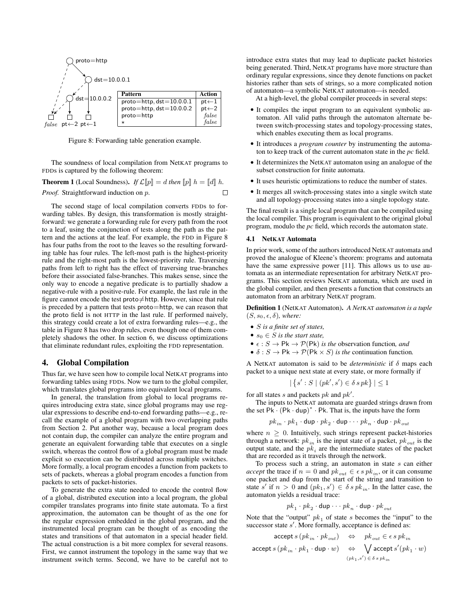

Figure 8: Forwarding table generation example.

The soundness of local compilation from NetKAT programs to FDDs is captured by the following theorem:

**Theorem 1** (Local Soundness). *If*  $\mathcal{L}[p] = d$  *then*  $[p] h = [d] h$ . *Proof.* Straightforward induction on *p*.  $\Box$ 

The second stage of local compilation converts FDDs to forwarding tables. By design, this transformation is mostly straightforward: we generate a forwarding rule for every path from the root to a leaf, using the conjunction of tests along the path as the pattern and the actions at the leaf. For example, the FDD in Figure 8 has four paths from the root to the leaves so the resulting forwarding table has four rules. The left-most path is the highest-priority rule and the right-most path is the lowest-priority rule. Traversing paths from left to right has the effect of traversing true-branches before their associated false-branches. This makes sense, since the only way to encode a negative predicate is to partially shadow a negative-rule with a positive-rule. For example, the last rule in the figure cannot encode the test proto $\neq$ http. However, since that rule is preceded by a pattern that tests proto=http, we can reason that the proto field is not HTTP in the last rule. If performed naively, this strategy could create a lot of extra forwarding rules—e.g., the table in Figure 8 has two drop rules, even though one of them completely shadows the other. In section 6, we discuss optimizations that eliminate redundant rules, exploiting the FDD representation.

### 4. Global Compilation

Thus far, we have seen how to compile local NetKAT programs into forwarding tables using FDDs. Now we turn to the global compiler, which translates global programs into equivalent local programs.

In general, the translation from global to local programs requires introducing extra state, since global programs may use regular expressions to describe end-to-end forwarding paths—e.g., recall the example of a global program with two overlapping paths from Section 2. Put another way, because a local program does not contain dup, the compiler can analyze the entire program and generate an equivalent forwarding table that executes on a single switch, whereas the control flow of a global program must be made explicit so execution can be distributed across multiple switches. More formally, a local program encodes a function from packets to sets of packets, whereas a global program encodes a function from packets to sets of packet-histories.

To generate the extra state needed to encode the control flow of a global, distributed execution into a local program, the global compiler translates programs into finite state automata. To a first approximation, the automaton can be thought of as the one for the regular expression embedded in the global program, and the instrumented local program can be thought of as encoding the states and transitions of that automaton in a special header field. The actual construction is a bit more complex for several reasons. First, we cannot instrument the topology in the same way that we instrument switch terms. Second, we have to be careful not to

introduce extra states that may lead to duplicate packet histories being generated. Third, NetKAT programs have more structure than ordinary regular expressions, since they denote functions on packet histories rather than sets of strings, so a more complicated notion of automaton—a symbolic NetKAT automaton—is needed.

At a high-level, the global compiler proceeds in several steps:

- *•* It compiles the input program to an equivalent symbolic automaton. All valid paths through the automaton alternate between switch-processing states and topology-processing states, which enables executing them as local programs.
- *•* It introduces a *program counter* by instrumenting the automaton to keep track of the current automaton state in the *pc* field.
- *•* It determinizes the NetKAT automaton using an analogue of the subset construction for finite automata.
- *•* It uses heuristic optimizations to reduce the number of states.
- *•* It merges all switch-processing states into a single switch state and all topology-processing states into a single topology state.

The final result is a single local program that can be compiled using the local compiler. This program is equivalent to the original global program, modulo the *pc* field, which records the automaton state.

#### 4.1 NetKAT Automata

In prior work, some of the authors introduced NetKAT automata and proved the analogue of Kleene's theorem: programs and automata have the same expressive power [11]. This allows us to use automata as an intermediate representation for arbitrary NetKAT programs. This section reviews NetKAT automata, which are used in the global compiler, and then presents a function that constructs an automaton from an arbitrary NetKAT program.

Definition 1 (NetKAT Automaton). *A Net*KAT *automaton is a tuple*  $(S, s_0, \epsilon, \delta)$ *, where:* 

- *• S is a finite set of states,*
- $s_0 \in S$  *is the start state,*
- $\epsilon : S \to \mathsf{Pk} \to \mathcal{P}(\mathsf{Pk})$  *is the* observation function, and
- $\delta$  : *S*  $\rightarrow$  Pk  $\rightarrow$  *P*(Pk  $\times$  *S) is the* continuation function.

A NetKAT automaton is said to be *deterministic* if  $\delta$  maps each packet to a unique next state at every state, or more formally if

$$
|\{s': S \mid (pk', s') \in \delta \, spk\}| \le 1
$$

for all states  $s$  and packets  $pk$  and  $pk'$ .

The inputs to NetKAT automata are guarded strings drawn from the set  $P\mathbf{k} \cdot (P\mathbf{k} \cdot \text{dup})^* \cdot P\mathbf{k}$ . That is, the inputs have the form

$$
pk_{in} \cdot pk_1 \cdot \text{dup} \cdot pk_2 \cdot \text{dup} \cdot \cdot pk_n \cdot \text{dup} \cdot pk_{out}
$$

where  $n \geq 0$ . Intuitively, such strings represent packet-histories through a network:  $pk_{in}$  is the input state of a packet,  $pk_{out}$  is the output state, and the  $pk_i$  are the intermediate states of the packet that are recorded as it travels through the network.

To process such a string, an automaton in state *s* can either *accept* the trace if  $n = 0$  and  $pk_{out} \in \epsilon s p k_{in}$ , or it can consume one packet and dup from the start of the string and transition to state *s'* if  $n > 0$  and  $(pk_1, s') \in \delta s p k_{in}$ . In the latter case, the automaton yields a residual trace:

$$
pk_1 \cdot pk_2 \cdot \text{dup} \cdot \cdot \cdot pk_n \cdot \text{dup} \cdot pk_{out}
$$

Note that the "output"  $pk_1$  of state *s* becomes the "input" to the successor state *s'*. More formally, acceptance is defined as:

$$
\begin{array}{ccc} \text{accept}\ s\ (pk_{in} \cdot pk_{out}) & \Leftrightarrow & pk_{out} \in \epsilon\ s\ pk_{in} \\ \text{accept}\ s\ (pk_{in} \cdot pk_1 \cdot \text{dup} \cdot w) & \Leftrightarrow & \bigvee\limits_{(pk_1, s') \in \delta\ s\ pk_{in}} \\ \end{array}
$$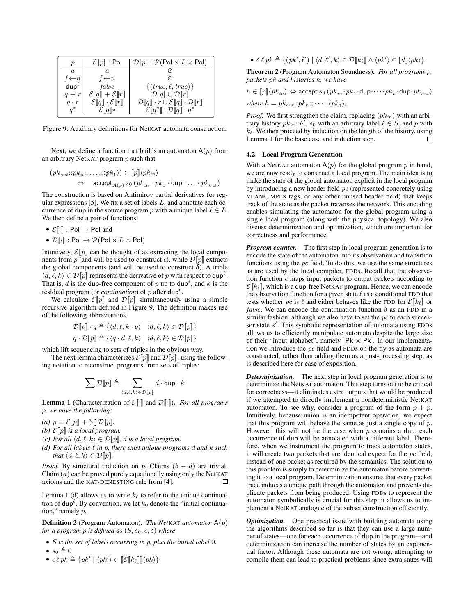| р                     | $\mathcal{E} \ p\ $ : Pol             | $\mathcal{D}\llbracket p\rrbracket : \mathcal{P}(\mathsf{Pol} \times L \times \mathsf{Pol})$ |
|-----------------------|---------------------------------------|----------------------------------------------------------------------------------------------|
| $\alpha$              | a                                     |                                                                                              |
| $f \leftarrow n$      | $f \leftarrow n$                      |                                                                                              |
| $\mathsf{dup}^{\ell}$ | false                                 | $\{\langle true, \ell, true \rangle\}$                                                       |
| $q + r$               | $\mathcal{E}[q] + \mathcal{E}[r]$     | $\mathcal{D}\llbracket q \rrbracket \cup \mathcal{D}\llbracket r \rrbracket$                 |
| $q \cdot r$           | $\mathcal{E}[q] \cdot \mathcal{E}[r]$ | $\mathcal{D}[q] \cdot r \cup \mathcal{E}[q] \cdot \mathcal{D}[r]$                            |
| $q^*$                 | $\mathcal{E}[[q]]*$                   | $\mathcal{E}[[q^*]\cdot \mathcal{D}[[q]\cdot q^*$                                            |

Figure 9: Auxiliary definitions for NetKAT automata construction.

Next, we define a function that builds an automaton  $A(p)$  from an arbitrary NetKAT program *p* such that

$$
(pk_{out}::pk_n::\ldots::\langle pk_1 \rangle) \in [p] \langle pk_{in} \rangle
$$
  

$$
\Leftrightarrow \text{accept}_{A(p)} s_0 (pk_{in} \cdot pk_1 \cdot \text{dup} \cdot \ldots \cdot pk_{out})
$$

The construction is based on Antimirov partial derivatives for regular expressions [5]. We fix a set of labels *L*, and annotate each occurrence of dup in the source program p with a unique label  $\ell \in L$ . We then define a pair of functions:

- $\mathcal{E}[\lceil \cdot \rceil] : \text{Pol} \to \text{Pol}$  and
- $\mathcal{D}[\![\cdot]\!]$  : Pol  $\rightarrow \mathcal{P}(\text{Pol} \times L \times \text{Pol})$

Intuitively,  $\mathcal{E}\llbracket p \rrbracket$  can be thought of as extracting the local components from *p* (and will be used to construct  $\epsilon$ ), while  $\mathcal{D}\llbracket p \rrbracket$  extracts the global components (and will be used to construct  $\delta$ ). A triple  $\langle d, \ell, k \rangle \in \mathcal{D}[p]$  represents the derivative of *p* with respect to dup<sup> $\ell$ </sup>. That is, *d* is the dup-free component of *p* up to dup<sup> $\ell$ </sup>, and *k* is the residual program (or *continuation*) of  $p$  after dup<sup> $\ell$ </sup>.

We calculate  $\mathcal{E}[p]$  and  $\mathcal{D}[p]$  simultaneously using a simple recursive algorithm defined in Figure 9. The definition makes use of the following abbreviations,

$$
\mathcal{D}[\![p]\!] \cdot q \triangleq \{ \langle d, \ell, k \cdot q \rangle \mid \langle d, \ell, k \rangle \in \mathcal{D}[\![p]\!] \}
$$

$$
q \cdot \mathcal{D}[\![p]\!] \triangleq \{ \langle q \cdot d, \ell, k \rangle \mid \langle d, \ell, k \rangle \in \mathcal{D}[\![p]\!] \}
$$

which lift sequencing to sets of triples in the obvious way.

The next lemma characterizes  $\mathcal{E}\llbracket p \rrbracket$  and  $\mathcal{D}\llbracket p \rrbracket$ , using the following notation to reconstruct programs from sets of triples:

$$
\sum \mathcal{D}\llbracket p\rrbracket \triangleq \sum_{\langle d,\ell,k\rangle \in \mathcal{D}\llbracket p\rrbracket} d\cdot \text{dup}\cdot k
$$

**Lemma 1** (Characterization of  $\mathcal{E}[\cdot]$  and  $\mathcal{D}[\cdot]$ ). *For all programs p, we have the following:*

*(a)*  $p \equiv \mathcal{E}[p] + \sum \mathcal{D}[p]$ .

- *(b)*  $\mathcal{E}\llbracket p \rrbracket$  *is a local program.*
- *(c) For all*  $\langle d, \ell, k \rangle \in \mathcal{D}[p]$ *, d is a local program.*
- *(d)* For all labels  $\ell$  *in*  $p$ *, there exist unique programs d and*  $k$  *such that*  $\langle d, \ell, k \rangle \in \mathcal{D}[p]$ *.*

*Proof.* By structural induction on *p*. Claims  $(b - d)$  are trivial. Claim (*a*) can be proved purely equationally using only the NetKAT axioms and the KAT-DENESTING rule from [4]. П

Lemma 1 (d) allows us to write  $k_{\ell}$  to refer to the unique continuation of  $d\mu \rho^{\ell}$ . By convention, we let  $k_0$  denote the "initial continuation," namely *p*.

Definition 2 (Program Automaton). *The Net*KAT *automaton* A(*p*) *for a program p is defined as*  $(S, s_0, \epsilon, \delta)$  *where* 

- *• S is the set of labels occurring in p, plus the initial label* 0*.*
- $s_0 \triangleq 0$
- $\bullet$   $\epsilon \ell p k \triangleq \{ p k' \mid \langle p k' \rangle \in [\![\mathcal{E}[\![k_\ell]\!]]\!]\langle p k \rangle \}$

•  $\delta \ell p k \triangleq \{(pk', \ell') | \langle d, \ell', k \rangle \in \mathcal{D}[[k_{\ell}]] \wedge \langle pk' \rangle \in [[d]]\langle pk \rangle\}$ 

Theorem 2 (Program Automaton Soundness). *For all programs p, packets pk and histories h, we have*

 $h \in [p] \langle pk_{in} \rangle \Leftrightarrow$  accept  $s_0$   $(pk_{in} \cdot pk_1 \cdot \text{dup} \cdot \cdot pk_n \cdot \text{dup} \cdot pk_{out})$ *where*  $h = pk_{out}::pk_n::\cdots::\langle pk_1 \rangle$ .

*Proof.* We first strengthen the claim, replacing  $\langle p k_{in} \rangle$  with an arbitrary history  $pk_{in}::h'$ ,  $s_0$  with an arbitrary label  $\ell \in S$ , and  $p$  with  $k_{\ell}$ . We then proceed by induction on the length of the history, using Lemma 1 for the base case and induction step.  $\Box$ 

# 4.2 Local Program Generation

With a NetKAT automaton  $A(p)$  for the global program  $p$  in hand, we are now ready to construct a local program. The main idea is to make the state of the global automaton explicit in the local program by introducing a new header field *pc* (represented concretely using VLANs, MPLS tags, or any other unused header field) that keeps track of the state as the packet traverses the network. This encoding enables simulating the automaton for the global program using a single local program (along with the physical topology). We also discuss determinization and optimization, which are important for correctness and performance.

*Program counter.* The first step in local program generation is to encode the state of the automaton into its observation and transition functions using the *pc* field. To do this, we use the same structures as are used by the local compiler, FDDs. Recall that the observation function  $\epsilon$  maps input packets to output packets according to  $\mathcal{E}[[k_{\ell}]]$ , which is a dup-free NetKAT program. Hence, we can encode the observation function for a given state  $\ell$  as a conditional FDD that tests whether *pc* is  $\ell$  and either behaves like the FDD for  $\mathcal{E}[[k_{\ell}]]$  or *false*. We can encode the continuation function  $\delta$  as an FDD in a similar fashion, although we also have to set the *pc* to each successor state s'. This symbolic representation of automata using FDDs allows us to efficiently manipulate automata despite the large size of their "input alphabet", namely  $|Pk \times Pk|$ . In our implementation we introduce the *pc* field and FDDs on the fly as automata are constructed, rather than adding them as a post-processing step, as is described here for ease of exposition.

*Determinization.* The next step in local program generation is to determinize the NetKAT automaton. This step turns out to be critical for correctness—it eliminates extra outputs that would be produced if we attempted to directly implement a nondeterministic NetKAT automaton. To see why, consider a program of the form  $p + p$ . Intuitively, because union is an idempotent operation, we expect that this program will behave the same as just a single copy of *p*. However, this will not be the case when *p* contains a dup: each occurrence of dup will be annotated with a different label. Therefore, when we instrument the program to track automaton states, it will create two packets that are identical expect for the *pc* field, instead of one packet as required by the semantics. The solution to this problem is simply to determinize the automaton before converting it to a local program. Determinization ensures that every packet trace induces a unique path through the automaton and prevents duplicate packets from being produced. Using FDDs to represent the automaton symbolically is crucial for this step: it allows us to implement a NetKAT analogue of the subset construction efficiently.

*Optimization.* One practical issue with building automata using the algorithms described so far is that they can use a large number of states—one for each occurrence of dup in the program—and determinization can increase the number of states by an exponential factor. Although these automata are not wrong, attempting to compile them can lead to practical problems since extra states will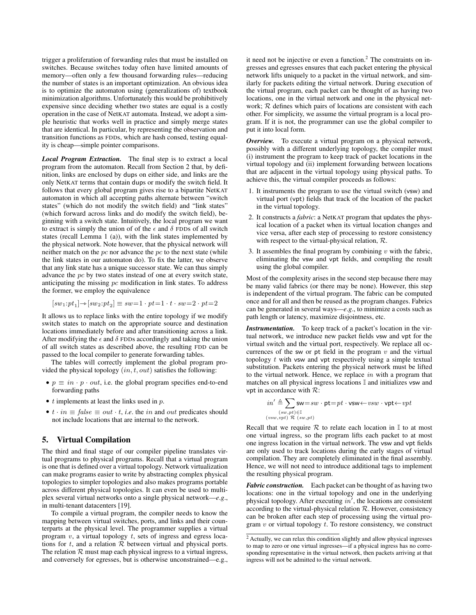trigger a proliferation of forwarding rules that must be installed on switches. Because switches today often have limited amounts of memory—often only a few thousand forwarding rules—reducing the number of states is an important optimization. An obvious idea is to optimize the automaton using (generalizations of) textbook minimization algorithms. Unfortunately this would be prohibitively expensive since deciding whether two states are equal is a costly operation in the case of NetKAT automata. Instead, we adopt a simple heuristic that works well in practice and simply merge states that are identical. In particular, by representing the observation and transition functions as FDDs, which are hash consed, testing equality is cheap—simple pointer comparisons.

*Local Program Extraction.* The final step is to extract a local program from the automaton. Recall from Section 2 that, by definition, links are enclosed by dups on either side, and links are the only NetKAT terms that contain dups or modify the switch field. It follows that every global program gives rise to a bipartite NetKAT automaton in which all accepting paths alternate between "switch states" (which do not modify the switch field) and "link states" (which forward across links and do modify the switch field), beginning with a switch state. Intuitively, the local program we want to extract is simply the union of of the  $\epsilon$  and  $\delta$  FDDs of all switch states (recall Lemma 1 (a)), with the link states implemented by the physical network. Note however, that the physical network will neither match on the *pc* nor advance the *pc* to the next state (while the link states in our automaton do). To fix the latter, we observe that any link state has a unique successor state. We can thus simply advance the *pc* by two states instead of one at every switch state, anticipating the missing *pc* modification in link states. To address the former, we employ the equivalence

$$
[sw_1:pt_1] \rightarrow [sw_2:pt_2] \equiv sw=1 \cdot pt=1 \cdot t \cdot sw=2 \cdot pt=2
$$

It allows us to replace links with the entire topology if we modify switch states to match on the appropriate source and destination locations immediately before and after transitioning across a link. After modifying the  $\epsilon$  and  $\delta$  FDDs accordingly and taking the union of all switch states as described above, the resulting FDD can be passed to the local compiler to generate forwarding tables.

The tables will correctly implement the global program provided the physical topology (*in, t, out*) satisfies the following:

- $p \equiv in \cdot p \cdot out$ , i.e. the global program specifies end-to-end forwarding paths
- *• t* implements at least the links used in *p*.
- $t \cdot in \equiv false \equiv out \cdot t$ , *i.e.* the *in* and *out* predicates should not include locations that are internal to the network.

# 5. Virtual Compilation

The third and final stage of our compiler pipeline translates virtual programs to physical programs. Recall that a virtual program is one that is defined over a virtual topology. Network virtualization can make programs easier to write by abstracting complex physical topologies to simpler topologies and also makes programs portable across different physical topologies. It can even be used to multiplex several virtual networks onto a single physical network—*e*.*g*., in multi-tenant datacenters [19].

To compile a virtual program, the compiler needs to know the mapping between virtual switches, ports, and links and their counterparts at the physical level. The programmer supplies a virtual program *v*, a virtual topology *t*, sets of ingress and egress locations for  $t$ , and a relation  $R$  between virtual and physical ports. The relation  $R$  must map each physical ingress to a virtual ingress, and conversely for egresses, but is otherwise unconstrained—e.g., it need not be injective or even a function. $<sup>2</sup>$  The constraints on in-</sup> gresses and egresses ensures that each packet entering the physical network lifts uniquely to a packet in the virtual network, and similarly for packets editing the virtual network. During execution of the virtual program, each packet can be thought of as having two locations, one in the virtual network and one in the physical network; *R* defines which pairs of locations are consistent with each other. For simplicity, we assume the virtual program is a local program. If it is not, the programmer can use the global compiler to put it into local form.

*Overview.* To execute a virtual program on a physical network, possibly with a different underlying topology, the compiler must (i) instrument the program to keep track of packet locations in the virtual topology and (ii) implement forwarding between locations that are adjacent in the virtual topology using physical paths. To achieve this, the virtual compiler proceeds as follows:

- 1. It instruments the program to use the virtual switch (vsw) and virtual port (vpt) fields that track of the location of the packet in the virtual topology.
- 2. It constructs a *fabric*: a NetKAT program that updates the physical location of a packet when its virtual location changes and vice versa, after each step of processing to restore consistency with respect to the virtual-physical relation, *R*.
- 3. It assembles the final program by combining  $v$  with the fabric, eliminating the vsw and vpt fields, and compiling the result using the global compiler.

Most of the complexity arises in the second step because there may be many valid fabrics (or there may be none). However, this step is independent of the virtual program. The fabric can be computed once and for all and then be reused as the program changes. Fabrics can be generated in several ways—*e*.*g*., to minimize a costs such as path length or latency, maximize disjointness, etc.

*Instrumentation.* To keep track of a packet's location in the virtual network, we introduce new packet fields vsw and vpt for the virtual switch and the virtual port, respectively. We replace all occurrences of the sw or pt field in the program *v* and the virtual topology *t* with vsw and vpt respectively using a simple textual substitution. Packets entering the physical network must be lifted to the virtual network. Hence, we replace *in* with a program that matches on all physical ingress locations I and initializes vsw and vpt in accordance with *R*:

$$
\begin{array}{l} \displaystyle in' \triangleq \hspace{-2mm} \sum_{(sw,\,pt) \in \mathbb{I}} \mathsf{sw} {=} sw \cdot \mathsf{pt} {=} pt \cdot \mathsf{vsw} {\gets} vsw \cdot \mathsf{vpt} {\gets} \mathit{vpt} \\ \scriptstyle (vsw,\mathit{vpt}) \; \mathcal{R} \; (sw,\mathit{pt}) \end{array}
$$

Recall that we require  $R$  to relate each location in  $\mathbb I$  to at most one virtual ingress, so the program lifts each packet to at most one ingress location in the virtual network. The vsw and vpt fields are only used to track locations during the early stages of virtual compilation. They are completely eliminated in the final assembly. Hence, we will not need to introduce additional tags to implement the resulting physical program.

*Fabric construction.* Each packet can be thought of as having two locations: one in the virtual topology and one in the underlying physical topology. After executing in', the locations are consistent according to the virtual-physical relation *R*. However, consistency can be broken after each step of processing using the virtual program *v* or virtual topology *t*. To restore consistency, we construct

<sup>&</sup>lt;sup>2</sup> Actually, we can relax this condition slightly and allow physical ingresses to map to zero or one virtual ingresses—if a physical ingress has no corresponding representative in the virtual network, then packets arriving at that ingress will not be admitted to the virtual network.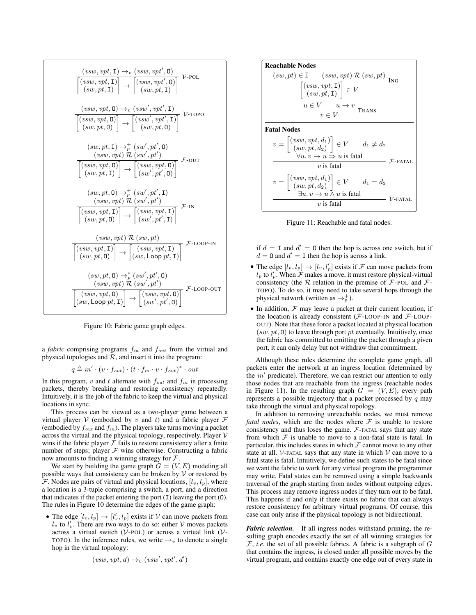| $\frac{(\mathit{vsw}, \mathit{vpt}, \mathtt{I}) \rightarrow_{v} (\mathit{vsw}, \mathit{vpt}', \mathtt{0})}{\left[\begin{matrix} (\mathit{vsw}, \mathit{vpt}, \mathtt{I}) \\ (\mathit{sw}, \mathit{pt}, \mathtt{I}) \end{matrix}\right] \rightarrow \left[\begin{matrix} (\mathit{vsw}, \mathit{vpt}', \mathtt{0}) \\ (\mathit{sw}, \mathit{pt}, \mathtt{I}) \end{matrix}\right]} \quad \mathcal{V}\text{-}\text{POL}$ |
|-----------------------------------------------------------------------------------------------------------------------------------------------------------------------------------------------------------------------------------------------------------------------------------------------------------------------------------------------------------------------------------------------------------------------|
| $\frac{(\mathit{vsw},\mathit{vpt},\mathbf{0})\rightarrow_\mathit{v} (\mathit{vsw}',\mathit{vpt}',\mathbf{I})}{\left[(\mathit{vsw},\mathit{vpt},\mathbf{0})\right]\rightarrow\left[(\mathit{vsw}',\mathit{vpt}',\mathbf{I})\right]}\,\,\mathcal{V}\text{-}\mathrm{TOPO}\,\\ \left(\mathit{sw},\mathit{pt},\mathbf{0})\right)$                                                                                          |
| $(sw, pt, I) \rightarrow_n^+ (sw', pt', 0)$<br>$\left(\textit{vsw}, \textit{vpt}\right)\mathcal{R}\left(\textit{sw}', \textit{pt}'\right)$<br>$\overline{\left[\begin{matrix} (vsw, vpt, \mathsf{0}) \\ (sw, pt, \mathsf{I}) \end{matrix}\right]} \rightarrow \overline{\left[\begin{matrix} (vsw, vpt, \mathsf{0}) \\ (sw', pt', \mathsf{0}) \end{matrix}\right]}$                                                   |
| $(sw, pt, 0) \rightarrow_p^+ (sw', pt', 1)$<br>$(vsw, vpt) \mathcal{R} (sw', pt')$<br>$\overline{\left[\begin{matrix} (vsw, vpt, \texttt{I}) \\ (sw, pt, \texttt{0}) \end{matrix} \right]} \rightarrow \overline{\left[\begin{matrix} (vsw, vpt, \texttt{I}) \\ (sw', pt', \texttt{I}) \end{matrix} \right]}$                                                                                                         |
| $\left(\textit{vsw}, \textit{vpt}\right)\mathcal{R}\left(\textit{sw}, \textit{pt}\right)$<br>$\left[\overbrace{(sw, vpt, \mathtt{I})}^{(vsw, vpt, \mathtt{I})}\right] \rightarrow \left[\overbrace{(sw, vpt, \mathtt{I})}^{(vsw, vpt, \mathtt{I})}\right]^{\mathcal{F}\text{-LOOP-IN}}$                                                                                                                               |
| $(sw, pt, 0) \rightarrow_p^* (sw', pt', 0)$<br>$\frac{(vsw, vpt)\mathop{\tilde{\mathcal{R}}}\limits^{\curvearrowright}(sw',pt')}{\left[(sw, vpt, \mathsf{0})\brack(w, \mathsf{Loop} pt, \mathsf{1})\right] \to \left[(sw, vpt, \mathsf{0})\brack(w', pt', \mathsf{0})\right]} \mathop{\mathcal{F}\text{-} \mathsf{LOOP\text{-}OUT}}$                                                                                  |

Figure 10: Fabric game graph edges.

a *fabric* comprising programs *fin* and *fout* from the virtual and physical topologies and  $R$ , and insert it into the program:

 $q \triangleq in' \cdot (v \cdot f_{out}) \cdot (t \cdot f_{in} \cdot v \cdot f_{out})^* \cdot out$ 

In this program, *v* and *t* alternate with  $f_{out}$  and  $f_{in}$  in processing packets, thereby breaking and restoring consistency repeatedly. Intuitively, it is the job of the fabric to keep the virtual and physical locations in sync.

This process can be viewed as a two-player game between a virtual player  $V$  (embodied by  $v$  and  $t$ ) and a fabric player  $\mathcal F$ (embodied by *fout* and *fin* ). The players take turns moving a packet across the virtual and the physical topology, respectively. Player *V* wins if the fabric player  $\bar{\mathcal{F}}$  fails to restore consistency after a finite number of steps; player  $F$  wins otherwise. Constructing a fabric now amounts to finding a winning strategy for *F*.

We start by building the game graph  $G = (V, E)$  modeling all possible ways that consistency can be broken by *V* or restored by  $\mathcal{F}$ . Nodes are pairs of virtual and physical locations,  $[l_v, l_p]$ , where a location is a 3-tuple comprising a switch, a port, and a direction that indicates if the packet entering the port (I) leaving the port (O). The rules in Figure 10 determine the edges of the game graph:

• The edge  $[l_v, l_p] \rightarrow [l'_v, l_p]$  exists if  $V$  can move packets from  $l_v$  to  $l'_v$ . There are two ways to do so: either *V* moves packets across a virtual switch (*V*-POL) or across a virtual link (*V*-TOPO). In the inference rules, we write  $\rightarrow$ <sub>v</sub> to denote a single hop in the virtual topology:

$$
(vsw, vpt, d) \rightarrow_v (vsw', vpt', d')
$$

**Reachable Nodes**  
\n
$$
\frac{(sw, pt) \in \mathbb{I} \qquad (vsw, vpt) \mathcal{R} (sw, pt)}{[(vw, vt, I)] \in V} \text{ING}
$$
\n
$$
\frac{u \in V \qquad u \to v}{v \in V} \text{Trans}
$$
\n**Fatal Nodes**  
\n
$$
v = \begin{bmatrix} (vsw, vpt, d_1) \\ (sw, pt, d_2) \end{bmatrix} \in V \qquad d_1 \neq d_2
$$
\n
$$
\frac{\forall u. v \to u \Rightarrow u \text{ is fatal}}{v \text{ is fatal}} \mathcal{F}\text{-FATAL}
$$
\n
$$
v = \begin{bmatrix} (vsw, vpt, d_1) \\ (sw, pt, d_2) \end{bmatrix} \in V \qquad d_1 = d_2
$$
\n
$$
\frac{u}{\exists u. v \to u \land u \text{ is fatal}} \mathcal{V}\text{-FATAL}
$$
\n
$$
v \text{ is fatal}
$$

Figure 11: Reachable and fatal nodes.

if  $d = I$  and  $d' = 0$  then the hop is across one switch, but if  $d = 0$  and  $d' = I$  then the hop is across a link.

- The edge  $[l_v, l_p] \rightarrow [l_v, l'_p]$  exists if *F* can move packets from  $l_p$  to  $l'_p$ . When *F* makes a move, it must restore physical-virtual consistency (the  $R$  relation in the premise of  $F$ -POL and  $F$ -TOPO). To do so, it may need to take several hops through the physical network (written as  $\rightarrow_p^+$ ).
- *•* In addition, *F* may leave a packet at their current location, if the location is already consistent (*F*-LOOP-IN and *F*-LOOP-OUT). Note that these force a packet located at physical location (*sw, pt,* O) to leave through port *pt* eventually. Intuitively, once the fabric has committed to emitting the packet through a given port, it can only delay but not withdraw that commitment.

Although these rules determine the complete game graph, all packets enter the network at an ingress location (determined by the *in'* predicate). Therefore, we can restrict our attention to only those nodes that are reachable from the ingress (reachable nodes in Figure 11). In the resulting graph  $G = (V, E)$ , every path represents a possible trajectory that a packet processed by *q* may take through the virtual and physical topology.

In addition to removing unreachable nodes, we must remove *fatal nodes*, which are the nodes where  $F$  is unable to restore consistency and thus loses the game. *F*-FATAL says that any state from which  $F$  is unable to move to a non-fatal state is fatal. In particular, this includes states in which  $\mathcal F$  cannot move to any other state at all. *V*-FATAL says that any state in which  $V$  can move to a fatal state is fatal. Intuitively, we define such states to be fatal since we want the fabric to work for any virtual program the programmer may write. Fatal states can be removed using a simple backwards traversal of the graph starting from nodes without outgoing edges. This process may remove ingress nodes if they turn out to be fatal. This happens if and only if there exists no fabric that can always restore consistency for arbitrary virtual programs. Of course, this case can only arise if the physical topology is not bidirectional.

*Fabric selection.* If all ingress nodes withstand pruning, the resulting graph encodes exactly the set of all winning strategies for *F*, *i*.*e*. the set of all possible fabrics. A fabric is a subgraph of *G* that contains the ingress, is closed under all possible moves by the virtual program, and contains exactly one edge out of every state in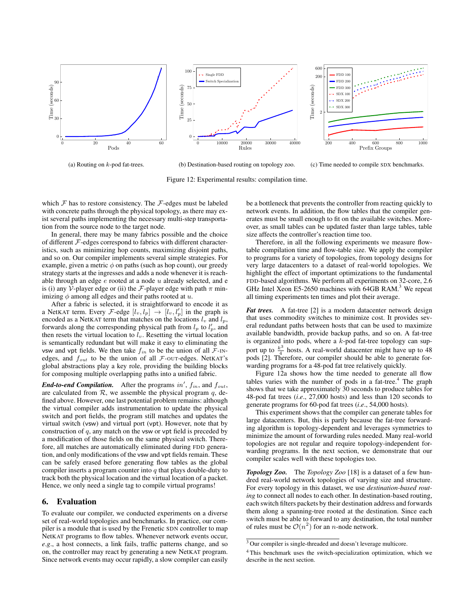

(a) Routing on *k*-pod fat-trees.

(b) Destination-based routing on topology zoo.

(c) Time needed to compile SDX benchmarks.

Figure 12: Experimental results: compilation time.

which  $\mathcal F$  has to restore consistency. The  $\mathcal F$ -edges must be labeled with concrete paths through the physical topology, as there may exist several paths implementing the necessary multi-step transportation from the source node to the target node.

In general, there may be many fabrics possible and the choice of different *F*-edges correspond to fabrics with different characteristics, such as minimizing hop counts, maximizing disjoint paths, and so on. Our compiler implements several simple strategies. For example, given a metric  $\phi$  on paths (such as hop count), our greedy strategy starts at the ingresses and adds a node whenever it is reachable through an edge *e* rooted at a node *u* already selected, and e is (i) any *V*-player edge or (ii) the *F*-player edge with path  $\pi$  minimizing  $\phi$  among all edges and their paths rooted at  $u$ .

After a fabric is selected, it is straightforward to encode it as a NetKAT term. Every *F*-edge  $[l_v, l_p] \rightarrow [l_v, l'_p]$  in the graph is encoded as a NetKAT term that matches on the locations  $l_v$  and  $l_p$ , forwards along the corresponding physical path from  $l_p$  to  $l'_p$ , and then resets the virtual location to  $l_v$ . Resetting the virtual location is semantically redundant but will make it easy to eliminating the vsw and vpt fields. We then take  $f_{in}$  to be the union of all  $\mathcal{F}\text{-IN-}$ edges, and  $f_{out}$  to be the union of all  $\mathcal{F}\text{-}\text{OUT-edges. }$  NetKAT's global abstractions play a key role, providing the building blocks for composing multiple overlapping paths into a unified fabric.

*End-to-end Compilation.* After the programs  $in', f_{in}$ , and  $f_{out}$ , are calculated from  $R$ , we assemble the physical program  $q$ , defined above. However, one last potential problem remains: although the virtual compiler adds instrumentation to update the physical switch and port fields, the program still matches and updates the virtual switch (vsw) and virtual port (vpt). However, note that by construction of *q*, any match on the vsw or vpt field is preceded by a modification of those fields on the same physical switch. Therefore, all matches are automatically eliminated during FDD generation, and only modifications of the vsw and vpt fields remain. These can be safely erased before generating flow tables as the global compiler inserts a program counter into *q* that plays double-duty to track both the physical location and the virtual location of a packet. Hence, we only need a single tag to compile virtual programs!

## 6. Evaluation

To evaluate our compiler, we conducted experiments on a diverse set of real-world topologies and benchmarks. In practice, our compiler is a module that is used by the Frenetic SDN controller to map NetKAT programs to flow tables. Whenever network events occur, *e*.*g*., a host connects, a link fails, traffic patterns change, and so on, the controller may react by generating a new NetKAT program. Since network events may occur rapidly, a slow compiler can easily

be a bottleneck that prevents the controller from reacting quickly to network events. In addition, the flow tables that the compiler generates must be small enough to fit on the available switches. Moreover, as small tables can be updated faster than large tables, table size affects the controller's reaction time too.

Therefore, in all the following experiments we measure flowtable compilation time and flow-table size. We apply the compiler to programs for a variety of topologies, from topology designs for very large datacenters to a dataset of real-world topologies. We highlight the effect of important optimizations to the fundamental FDD-based algorithms. We perform all experiments on 32-core, 2.6 GHz Intel Xeon E5-2650 machines with 64GB RAM.<sup>3</sup> We repeat all timing experiments ten times and plot their average.

*Fat trees.* A fat-tree [2] is a modern datacenter network design that uses commodity switches to minimize cost. It provides several redundant paths between hosts that can be used to maximize available bandwidth, provide backup paths, and so on. A fat-tree is organized into pods, where a *k*-pod fat-tree topology can support up to  $\frac{k^3}{4}$  hosts. A real-world datacenter might have up to 48 pods [2]. Therefore, our compiler should be able to generate forwarding programs for a 48-pod fat tree relatively quickly.

Figure 12a shows how the time needed to generate all flow tables varies with the number of pods in a fat-tree.<sup>4</sup> The graph shows that we take approximately 30 seconds to produce tables for 48-pod fat trees (*i*.*e*., 27,000 hosts) and less than 120 seconds to generate programs for 60-pod fat trees (*i*.*e*., 54,000 hosts).

This experiment shows that the compiler can generate tables for large datacenters. But, this is partly because the fat-tree forwarding algorithm is topology-dependent and leverages symmetries to minimize the amount of forwarding rules needed. Many real-world topologies are not regular and require topology-independent forwarding programs. In the next section, we demonstrate that our compiler scales well with these topologies too.

*Topology Zoo.* The *Topology Zoo* [18] is a dataset of a few hundred real-world network topologies of varying size and structure. For every topology in this dataset, we use *destination-based routing* to connect all nodes to each other. In destination-based routing, each switch filters packets by their destination address and forwards them along a spanning-tree rooted at the destination. Since each switch must be able to forward to any destination, the total number of rules must be  $O(n^2)$  for an *n*-node network.

<sup>3</sup> Our compiler is single-threaded and doesn't leverage multicore.

<sup>4</sup> This benchmark uses the switch-specialization optimization, which we describe in the next section.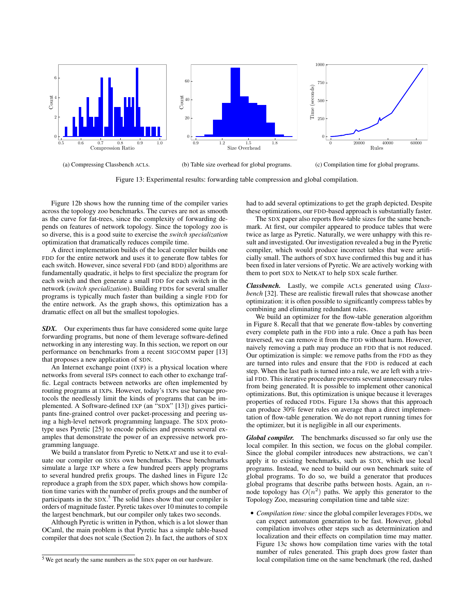

Figure 13: Experimental results: forwarding table compression and global compilation.

Figure 12b shows how the running time of the compiler varies across the topology zoo benchmarks. The curves are not as smooth as the curve for fat-trees, since the complexity of forwarding depends on features of network topology. Since the topology zoo is so diverse, this is a good suite to exercise the *switch specialization* optimization that dramatically reduces compile time.

A direct implementation builds of the local compiler builds one FDD for the entire network and uses it to generate flow tables for each switch. However, since several FDD (and BDD) algorithms are fundamentally quadratic, it helps to first specialize the program for each switch and then generate a small FDD for each switch in the network (*switch specialization*). Building FDDs for several smaller programs is typically much faster than building a single FDD for the entire network. As the graph shows, this optimization has a dramatic effect on all but the smallest topologies.

*SDX.* Our experiments thus far have considered some quite large forwarding programs, but none of them leverage software-defined networking in any interesting way. In this section, we report on our performance on benchmarks from a recent SIGCOMM paper [13] that proposes a new application of SDN.

An Internet exchange point (IXP) is a physical location where networks from several ISPs connect to each other to exchange traffic. Legal contracts between networks are often implemented by routing programs at IXPs. However, today's IXPs use baroque protocols the needlessly limit the kinds of programs that can be implemented. A Software-defined IXP (an "SDX" [13]) gives participants fine-grained control over packet-processing and peering using a high-level network programming language. The SDX prototype uses Pyretic [25] to encode policies and presents several examples that demonstrate the power of an expressive network programming language.

We build a translator from Pyretic to NetKAT and use it to evaluate our compiler on SDXs own benchmarks. These benchmarks simulate a large IXP where a few hundred peers apply programs to several hundred prefix groups. The dashed lines in Figure 12c reproduce a graph from the SDX paper, which shows how compilation time varies with the number of prefix groups and the number of participants in the SDX.<sup>5</sup> The solid lines show that our compiler is orders of magnitude faster. Pyretic takes over 10 minutes to compile the largest benchmark, but our compiler only takes two seconds.

Although Pyretic is written in Python, which is a lot slower than OCaml, the main problem is that Pyretic has a simple table-based compiler that does not scale (Section 2). In fact, the authors of SDX had to add several optimizations to get the graph depicted. Despite these optimizations, our FDD-based approach is substantially faster.

The SDX paper also reports flow-table sizes for the same benchmark. At first, our compiler appeared to produce tables that were twice as large as Pyretic. Naturally, we were unhappy with this result and investigated. Our investigation revealed a bug in the Pyretic compiler, which would produce incorrect tables that were artificially small. The authors of SDX have confirmed this bug and it has been fixed in later versions of Pyretic. We are actively working with them to port SDX to NetKAT to help SDX scale further.

*Classbench.* Lastly, we compile ACLs generated using *Classbench* [32]. These are realistic firewall rules that showcase another optimization: it is often possible to significantly compress tables by combining and eliminating redundant rules.

We build an optimizer for the flow-table generation algorithm in Figure 8. Recall that that we generate flow-tables by converting every complete path in the FDD into a rule. Once a path has been traversed, we can remove it from the FDD without harm. However, naively removing a path may produce an FDD that is not reduced. Our optimization is simple: we remove paths from the FDD as they are turned into rules and ensure that the FDD is reduced at each step. When the last path is turned into a rule, we are left with a trivial FDD. This iterative procedure prevents several unnecessary rules from being generated. It is possible to implement other canonical optimizations. But, this optimization is unique because it leverages properties of reduced FDDs. Figure 13a shows that this approach can produce 30% fewer rules on average than a direct implementation of flow-table generation. We do not report running times for the optimizer, but it is negligible in all our experiments.

*Global compiler.* The benchmarks discussed so far only use the local compiler. In this section, we focus on the global compiler. Since the global compiler introduces new abstractions, we can't apply it to existing benchmarks, such as SDX, which use local programs. Instead, we need to build our own benchmark suite of global programs. To do so, we build a generator that produces global programs that describe paths between hosts. Again, an *n*node topology has  $O(n^2)$  paths. We apply this generator to the Topology Zoo, measuring compilation time and table size:

• *Compilation time:* since the global compiler leverages FDDs, we can expect automaton generation to be fast. However, global compilation involves other steps such as determinization and localization and their effects on compilation time may matter. Figure 13c shows how compilation time varies with the total number of rules generated. This graph does grow faster than local compilation time on the same benchmark (the red, dashed

<sup>5</sup> We get nearly the same numbers as the SDX paper on our hardware.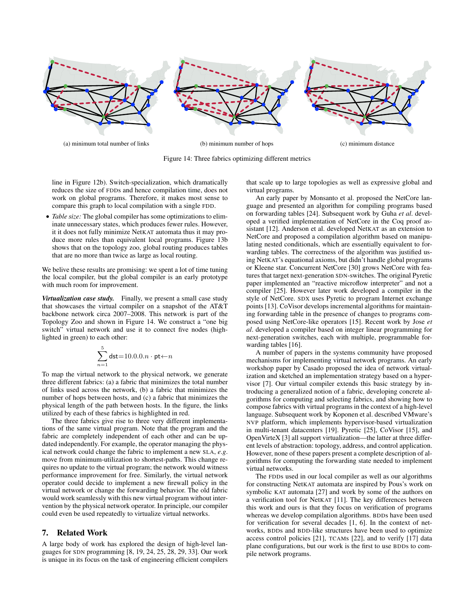

Figure 14: Three fabrics optimizing different metrics

line in Figure 12b). Switch-specialization, which dramatically reduces the size of FDDs and hence compilation time, does not work on global programs. Therefore, it makes most sense to compare this graph to local compilation with a single FDD.

*• Table size:* The global compiler has some optimizations to eliminate unnecessary states, which produces fewer rules. However, it it does not fully minimize NetKAT automata thus it may produce more rules than equivalent local programs. Figure 13b shows that on the topology zoo, global routing produces tables that are no more than twice as large as local routing.

We belive these results are promising: we spent a lot of time tuning the local compiler, but the global compiler is an early prototype with much room for improvement.

*Virtualization case study.* Finally, we present a small case study that showcases the virtual compiler on a snapshot of the AT&T backbone network circa 2007–2008. This network is part of the Topology Zoo and shown in Figure 14. We construct a "one big switch" virtual network and use it to connect five nodes (highlighted in green) to each other:

$$
\sum_{n=1}^{5} \textsf{dst}{=}10.0.0.n \cdot \textsf{pt} {\gets} n
$$

To map the virtual network to the physical network, we generate three different fabrics: (a) a fabric that minimizes the total number of links used across the network, (b) a fabric that minimizes the number of hops between hosts, and (c) a fabric that minimizes the physical length of the path between hosts. In the figure, the links utilized by each of these fabrics is highlighted in red.

The three fabrics give rise to three very different implementations of the same virtual program. Note that the program and the fabric are completely independent of each other and can be updated independently. For example, the operator managing the physical network could change the fabric to implement a new SLA, *e*.*g*. move from minimum-utilization to shortest-paths. This change requires no update to the virtual program; the network would witness performance improvement for free. Similarly, the virtual network operator could decide to implement a new firewall policy in the virtual network or change the forwarding behavior. The old fabric would work seamlessly with this new virtual program without intervention by the physical network operator. In principle, our compiler could even be used repeatedly to virtualize virtual networks.

# 7. Related Work

A large body of work has explored the design of high-level languages for SDN programming [8, 19, 24, 25, 28, 29, 33]. Our work is unique in its focus on the task of engineering efficient compilers that scale up to large topologies as well as expressive global and virtual programs.

An early paper by Monsanto et al. proposed the NetCore language and presented an algorithm for compiling programs based on forwarding tables [24]. Subsequent work by Guha *et al*. developed a verified implementation of NetCore in the Coq proof assistant [12]. Anderson et al. developed NetKAT as an extension to NetCore and proposed a compilation algorithm based on manipulating nested conditionals, which are essentially equivalent to forwarding tables. The correctness of the algorithm was justified using NetKAT's equational axioms, but didn't handle global programs or Kleene star. Concurrent NetCore [30] grows NetCore with features that target next-generation SDN-switches. The original Pyretic paper implemented an "reactive microflow interpreter" and not a compiler [25]. However later work developed a compiler in the style of NetCore. SDX uses Pyretic to program Internet exchange points [13]. CoVisor develops incremental algorithms for maintaining forwarding table in the presence of changes to programs composed using NetCore-like operators [15]. Recent work by Jose *et al*. developed a compiler based on integer linear programming for next-generation switches, each with multiple, programmable forwarding tables [16].

A number of papers in the systems community have proposed mechanisms for implementing virtual network programs. An early workshop paper by Casado proposed the idea of network virtualization and sketched an implementation strategy based on a hypervisor [7]. Our virtual compiler extends this basic strategy by introducing a generalized notion of a fabric, developing concrete algorithms for computing and selecting fabrics, and showing how to compose fabrics with virtual programs in the context of a high-level language. Subsequent work by Koponen et al. described VMware's NVP platform, which implements hypervisor-based virtualization in multi-tenant datacenters [19]. Pyretic [25], CoVisor [15], and OpenVirteX [3] all support virtualization—the latter at three different levels of abstraction: topology, address, and control application. However, none of these papers present a complete description of algorithms for computing the forwarding state needed to implement virtual networks.

The FDDs used in our local compiler as well as our algorithms for constructing NetKAT automata are inspired by Pous's work on symbolic KAT automata [27] and work by some of the authors on a verification tool for NetKAT [11]. The key differences between this work and ours is that they focus on verification of programs whereas we develop compilation algorithms. BDDs have been used for verification for several decades [1, 6]. In the context of networks, BDDs and BDD-like structures have been used to optimize access control policies [21], TCAMs [22], and to verify [17] data plane configurations, but our work is the first to use BDDs to compile network programs.